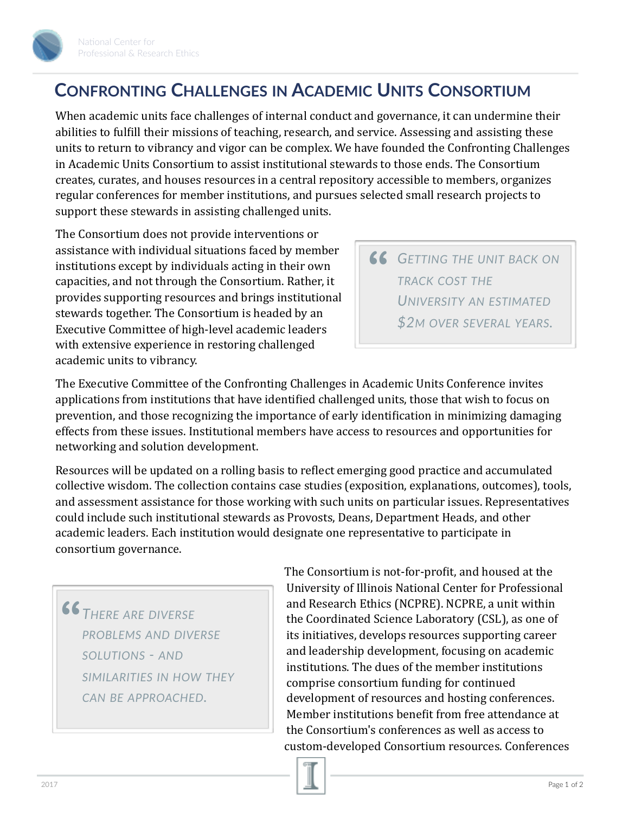

## **CONFRONTING CHALLENGES IN ACADEMIC UNITS CONSORTIUM**

When academic units face challenges of internal conduct and governance, it can undermine their abilities to fulfill their missions of teaching, research, and service. Assessing and assisting these units to return to vibrancy and vigor can be complex. We have founded the Confronting Challenges in Academic Units Consortium to assist institutional stewards to those ends. The Consortium creates, curates, and houses resources in a central repository accessible to members, organizes regular conferences for member institutions, and pursues selected small research projects to support these stewards in assisting challenged units.

The Consortium does not provide interventions or assistance with individual situations faced by member institutions except by individuals acting in their own capacities, and not through the Consortium. Rather, it provides supporting resources and brings institutional stewards together. The Consortium is headed by an Executive Committee of high-level academic leaders with extensive experience in restoring challenged academic units to vibrancy.

*GETTING THE UNIT BACK ON* **"** *TRACK COST THE UNIVERSITY AN ESTIMATED \$2M OVER SEVERAL YEARS.*

The Executive Committee of the Confronting Challenges in Academic Units Conference invites applications from institutions that have identified challenged units, those that wish to focus on prevention, and those recognizing the importance of early identification in minimizing damaging effects from these issues. Institutional members have access to resources and opportunities for networking and solution development.

Resources will be updated on a rolling basis to reflect emerging good practice and accumulated collective wisdom. The collection contains case studies (exposition, explanations, outcomes), tools, and assessment assistance for those working with such units on particular issues. Representatives could include such institutional stewards as Provosts, Deans, Department Heads, and other academic leaders. Each institution would designate one representative to participate in consortium governance.

*THERE ARE DIVERSE PROBLEMS AND DIVERSE SOLUTIONS - AND SIMILARITIES IN HOW THEY CAN BE APPROACHED.* **"**

The Consortium is not-for-profit, and housed at the University of Illinois National Center for Professional and Research Ethics (NCPRE). NCPRE, a unit within the Coordinated Science Laboratory (CSL), as one of its initiatives, develops resources supporting career and leadership development, focusing on academic institutions. The dues of the member institutions comprise consortium funding for continued development of resources and hosting conferences. Member institutions benefit from free attendance at the Consortium's conferences as well as access to custom-developed Consortium resources. Conferences